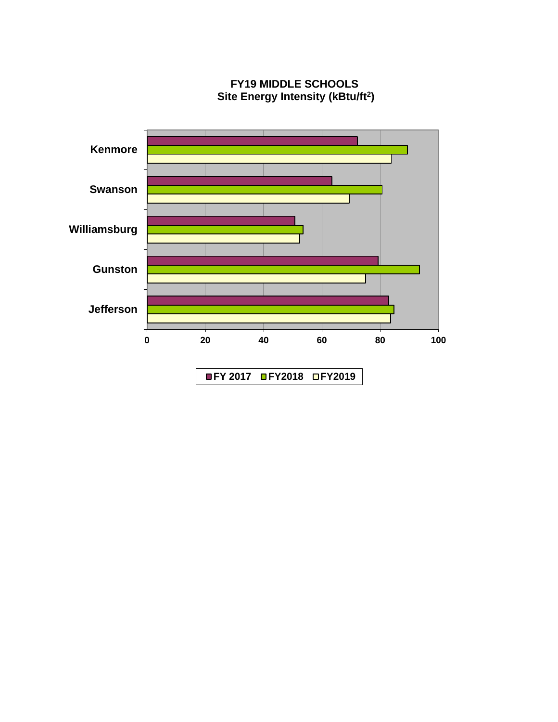

**FY19 MIDDLE SCHOOLS Site Energy Intensity (kBtu/ft<sup>2</sup> )**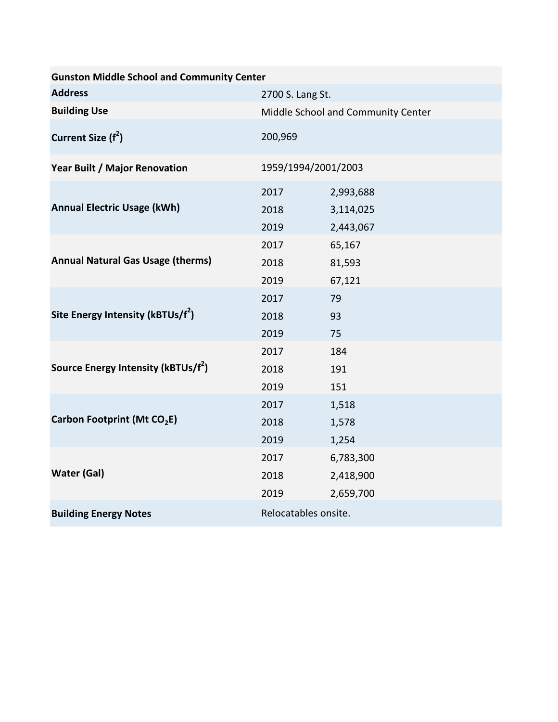| <b>Gunston Middle School and Community Center</b> |                                    |                                     |  |  |
|---------------------------------------------------|------------------------------------|-------------------------------------|--|--|
| <b>Address</b>                                    | 2700 S. Lang St.                   |                                     |  |  |
| <b>Building Use</b>                               | Middle School and Community Center |                                     |  |  |
| Current Size (f <sup>2</sup> )                    | 200,969                            |                                     |  |  |
| Year Built / Major Renovation                     | 1959/1994/2001/2003                |                                     |  |  |
| <b>Annual Electric Usage (kWh)</b>                | 2017<br>2018<br>2019               | 2,993,688<br>3,114,025<br>2,443,067 |  |  |
| <b>Annual Natural Gas Usage (therms)</b>          | 2017<br>2018<br>2019               | 65,167<br>81,593<br>67,121          |  |  |
| Site Energy Intensity ( $kBTUs/f^2$ )             | 2017<br>2018<br>2019               | 79<br>93<br>75                      |  |  |
| Source Energy Intensity (kBTUs/f <sup>2</sup> )   | 2017<br>2018<br>2019               | 184<br>191<br>151                   |  |  |
| Carbon Footprint (Mt CO <sub>2</sub> E)           | 2017<br>2018<br>2019               | 1,518<br>1,578<br>1,254             |  |  |
| <b>Water (Gal)</b>                                | 2017<br>2018<br>2019               | 6,783,300<br>2,418,900<br>2,659,700 |  |  |
| <b>Building Energy Notes</b>                      | Relocatables onsite.               |                                     |  |  |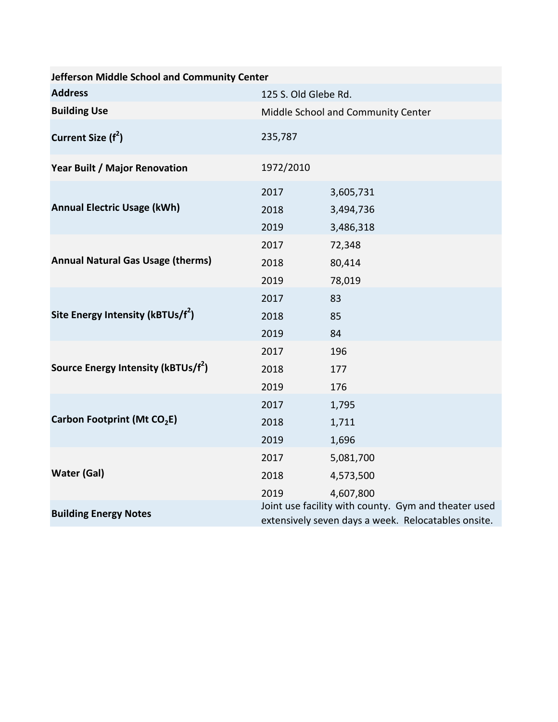| Jefferson Middle School and Community Center    |                                                                                                             |                                     |  |  |
|-------------------------------------------------|-------------------------------------------------------------------------------------------------------------|-------------------------------------|--|--|
| <b>Address</b>                                  | 125 S. Old Glebe Rd.                                                                                        |                                     |  |  |
| <b>Building Use</b>                             | Middle School and Community Center                                                                          |                                     |  |  |
| Current Size (f <sup>2</sup> )                  | 235,787                                                                                                     |                                     |  |  |
| Year Built / Major Renovation                   | 1972/2010                                                                                                   |                                     |  |  |
| <b>Annual Electric Usage (kWh)</b>              | 2017<br>2018<br>2019                                                                                        | 3,605,731<br>3,494,736<br>3,486,318 |  |  |
| <b>Annual Natural Gas Usage (therms)</b>        | 2017<br>2018<br>2019                                                                                        | 72,348<br>80,414<br>78,019          |  |  |
| Site Energy Intensity ( $kBTUs/f^2$ )           | 2017<br>2018<br>2019                                                                                        | 83<br>85<br>84                      |  |  |
| Source Energy Intensity (kBTUs/f <sup>2</sup> ) | 2017<br>2018<br>2019                                                                                        | 196<br>177<br>176                   |  |  |
| Carbon Footprint (Mt CO <sub>2</sub> E)         | 2017<br>2018<br>2019                                                                                        | 1,795<br>1,711<br>1,696             |  |  |
| <b>Water (Gal)</b>                              | 2017<br>2018<br>2019                                                                                        | 5,081,700<br>4,573,500<br>4,607,800 |  |  |
| <b>Building Energy Notes</b>                    | Joint use facility with county. Gym and theater used<br>extensively seven days a week. Relocatables onsite. |                                     |  |  |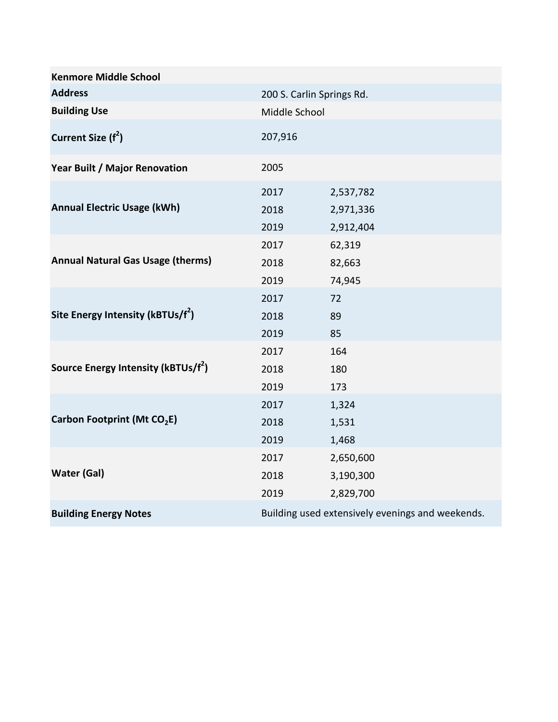| <b>Kenmore Middle School</b>                    |                           |                                                  |  |
|-------------------------------------------------|---------------------------|--------------------------------------------------|--|
| <b>Address</b>                                  | 200 S. Carlin Springs Rd. |                                                  |  |
| <b>Building Use</b>                             | Middle School             |                                                  |  |
| Current Size (f <sup>2</sup> )                  | 207,916                   |                                                  |  |
| Year Built / Major Renovation                   | 2005                      |                                                  |  |
| <b>Annual Electric Usage (kWh)</b>              | 2017<br>2018<br>2019      | 2,537,782<br>2,971,336<br>2,912,404              |  |
| <b>Annual Natural Gas Usage (therms)</b>        | 2017<br>2018<br>2019      | 62,319<br>82,663<br>74,945                       |  |
| Site Energy Intensity (kBTUs/f <sup>2</sup> )   | 2017<br>2018<br>2019      | 72<br>89<br>85                                   |  |
| Source Energy Intensity (kBTUs/f <sup>2</sup> ) | 2017<br>2018<br>2019      | 164<br>180<br>173                                |  |
| Carbon Footprint (Mt CO <sub>2</sub> E)         | 2017<br>2018<br>2019      | 1,324<br>1,531<br>1,468                          |  |
| <b>Water (Gal)</b>                              | 2017<br>2018<br>2019      | 2,650,600<br>3,190,300<br>2,829,700              |  |
| <b>Building Energy Notes</b>                    |                           | Building used extensively evenings and weekends. |  |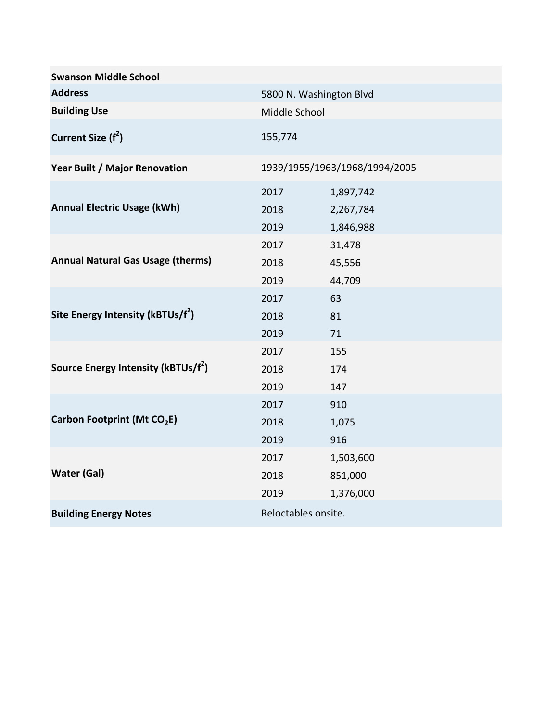| <b>Swanson Middle School</b>                    |                               |                                     |  |
|-------------------------------------------------|-------------------------------|-------------------------------------|--|
| <b>Address</b>                                  | 5800 N. Washington Blvd       |                                     |  |
| <b>Building Use</b>                             | Middle School                 |                                     |  |
| Current Size (f <sup>2</sup> )                  | 155,774                       |                                     |  |
| Year Built / Major Renovation                   | 1939/1955/1963/1968/1994/2005 |                                     |  |
| <b>Annual Electric Usage (kWh)</b>              | 2017<br>2018<br>2019          | 1,897,742<br>2,267,784<br>1,846,988 |  |
| <b>Annual Natural Gas Usage (therms)</b>        | 2017<br>2018<br>2019          | 31,478<br>45,556<br>44,709          |  |
| Site Energy Intensity (kBTUs/f <sup>2</sup> )   | 2017<br>2018<br>2019          | 63<br>81<br>71                      |  |
| Source Energy Intensity (kBTUs/f <sup>2</sup> ) | 2017<br>2018<br>2019          | 155<br>174<br>147                   |  |
| Carbon Footprint (Mt CO <sub>2</sub> E)         | 2017<br>2018<br>2019          | 910<br>1,075<br>916                 |  |
| <b>Water (Gal)</b>                              | 2017<br>2018<br>2019          | 1,503,600<br>851,000<br>1,376,000   |  |
| <b>Building Energy Notes</b>                    | Reloctables onsite.           |                                     |  |